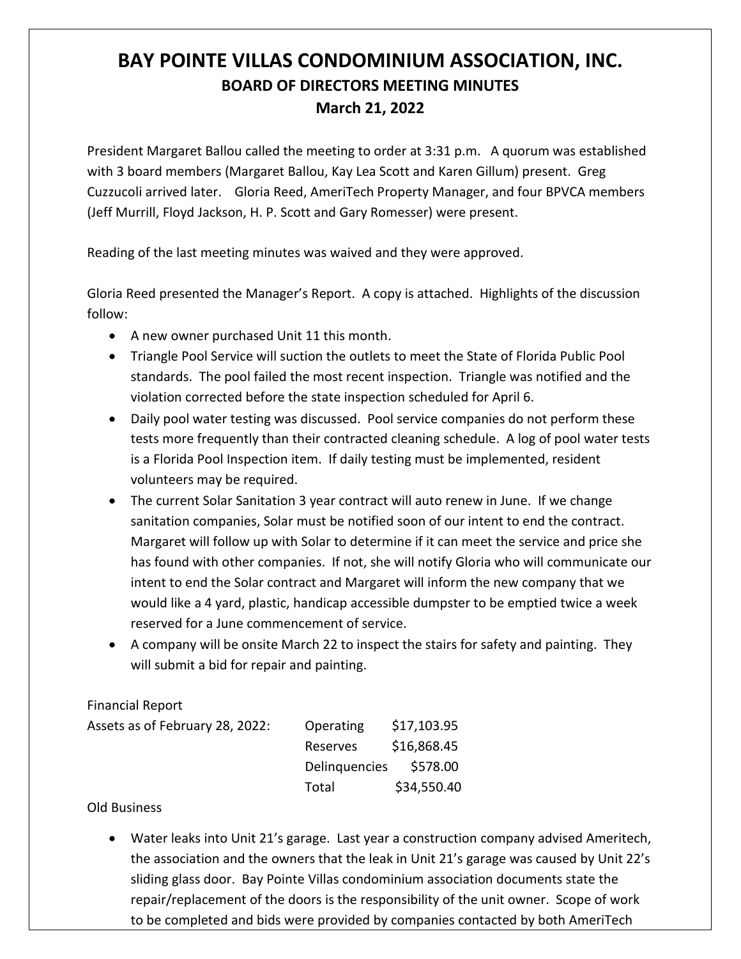## **BAY POINTE VILLAS CONDOMINIUM ASSOCIATION, INC. BOARD OF DIRECTORS MEETING MINUTES March 21, 2022**

President Margaret Ballou called the meeting to order at 3:31 p.m. A quorum was established with 3 board members (Margaret Ballou, Kay Lea Scott and Karen Gillum) present. Greg Cuzzucoli arrived later. Gloria Reed, AmeriTech Property Manager, and four BPVCA members (Jeff Murrill, Floyd Jackson, H. P. Scott and Gary Romesser) were present.

Reading of the last meeting minutes was waived and they were approved.

Gloria Reed presented the Manager's Report. A copy is attached. Highlights of the discussion follow:

- A new owner purchased Unit 11 this month.
- Triangle Pool Service will suction the outlets to meet the State of Florida Public Pool standards. The pool failed the most recent inspection. Triangle was notified and the violation corrected before the state inspection scheduled for April 6.
- Daily pool water testing was discussed. Pool service companies do not perform these tests more frequently than their contracted cleaning schedule. A log of pool water tests is a Florida Pool Inspection item. If daily testing must be implemented, resident volunteers may be required.
- The current Solar Sanitation 3 year contract will auto renew in June. If we change sanitation companies, Solar must be notified soon of our intent to end the contract. Margaret will follow up with Solar to determine if it can meet the service and price she has found with other companies. If not, she will notify Gloria who will communicate our intent to end the Solar contract and Margaret will inform the new company that we would like a 4 yard, plastic, handicap accessible dumpster to be emptied twice a week reserved for a June commencement of service.
- A company will be onsite March 22 to inspect the stairs for safety and painting. They will submit a bid for repair and painting.

Financial Report

| Assets as of February 28, 2022: | Operating     | \$17,103.95 |
|---------------------------------|---------------|-------------|
|                                 | Reserves      | \$16,868.45 |
|                                 | Delinguencies | \$578.00    |
|                                 | Total         | \$34,550.40 |

## Old Business

• Water leaks into Unit 21's garage. Last year a construction company advised Ameritech, the association and the owners that the leak in Unit 21's garage was caused by Unit 22's sliding glass door. Bay Pointe Villas condominium association documents state the repair/replacement of the doors is the responsibility of the unit owner. Scope of work to be completed and bids were provided by companies contacted by both AmeriTech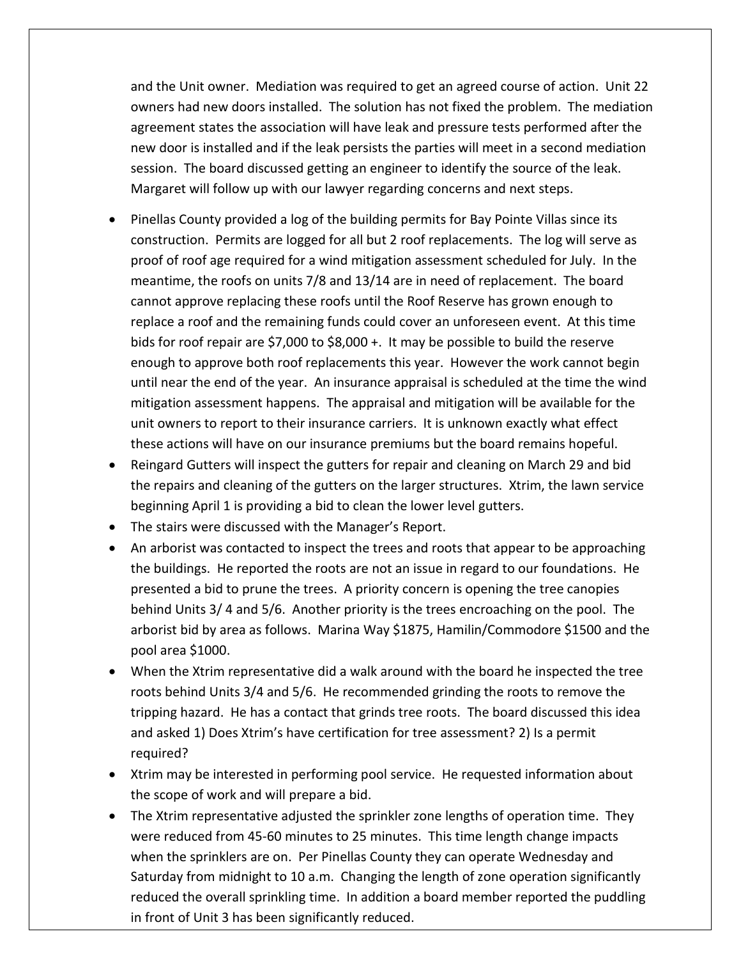and the Unit owner. Mediation was required to get an agreed course of action. Unit 22 owners had new doors installed. The solution has not fixed the problem. The mediation agreement states the association will have leak and pressure tests performed after the new door is installed and if the leak persists the parties will meet in a second mediation session. The board discussed getting an engineer to identify the source of the leak. Margaret will follow up with our lawyer regarding concerns and next steps.

- Pinellas County provided a log of the building permits for Bay Pointe Villas since its construction. Permits are logged for all but 2 roof replacements. The log will serve as proof of roof age required for a wind mitigation assessment scheduled for July. In the meantime, the roofs on units 7/8 and 13/14 are in need of replacement. The board cannot approve replacing these roofs until the Roof Reserve has grown enough to replace a roof and the remaining funds could cover an unforeseen event. At this time bids for roof repair are \$7,000 to \$8,000 +. It may be possible to build the reserve enough to approve both roof replacements this year. However the work cannot begin until near the end of the year. An insurance appraisal is scheduled at the time the wind mitigation assessment happens. The appraisal and mitigation will be available for the unit owners to report to their insurance carriers. It is unknown exactly what effect these actions will have on our insurance premiums but the board remains hopeful.
- Reingard Gutters will inspect the gutters for repair and cleaning on March 29 and bid the repairs and cleaning of the gutters on the larger structures. Xtrim, the lawn service beginning April 1 is providing a bid to clean the lower level gutters.
- The stairs were discussed with the Manager's Report.
- An arborist was contacted to inspect the trees and roots that appear to be approaching the buildings. He reported the roots are not an issue in regard to our foundations. He presented a bid to prune the trees. A priority concern is opening the tree canopies behind Units 3/ 4 and 5/6. Another priority is the trees encroaching on the pool. The arborist bid by area as follows. Marina Way \$1875, Hamilin/Commodore \$1500 and the pool area \$1000.
- When the Xtrim representative did a walk around with the board he inspected the tree roots behind Units 3/4 and 5/6. He recommended grinding the roots to remove the tripping hazard. He has a contact that grinds tree roots. The board discussed this idea and asked 1) Does Xtrim's have certification for tree assessment? 2) Is a permit required?
- Xtrim may be interested in performing pool service. He requested information about the scope of work and will prepare a bid.
- The Xtrim representative adjusted the sprinkler zone lengths of operation time. They were reduced from 45-60 minutes to 25 minutes. This time length change impacts when the sprinklers are on. Per Pinellas County they can operate Wednesday and Saturday from midnight to 10 a.m. Changing the length of zone operation significantly reduced the overall sprinkling time. In addition a board member reported the puddling in front of Unit 3 has been significantly reduced.